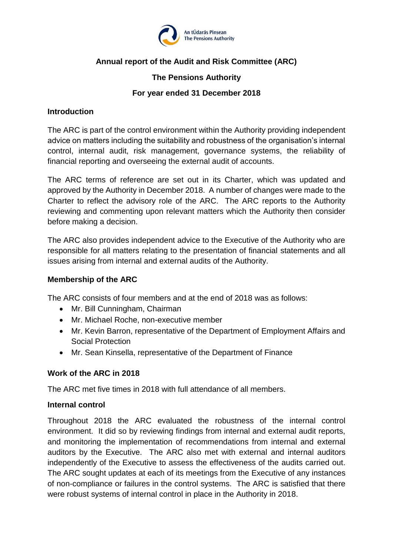

# **Annual report of the Audit and Risk Committee (ARC)**

## **The Pensions Authority**

### **For year ended 31 December 2018**

#### **Introduction**

The ARC is part of the control environment within the Authority providing independent advice on matters including the suitability and robustness of the organisation's internal control, internal audit, risk management, governance systems, the reliability of financial reporting and overseeing the external audit of accounts.

The ARC terms of reference are set out in its Charter, which was updated and approved by the Authority in December 2018. A number of changes were made to the Charter to reflect the advisory role of the ARC. The ARC reports to the Authority reviewing and commenting upon relevant matters which the Authority then consider before making a decision.

The ARC also provides independent advice to the Executive of the Authority who are responsible for all matters relating to the presentation of financial statements and all issues arising from internal and external audits of the Authority.

### **Membership of the ARC**

The ARC consists of four members and at the end of 2018 was as follows:

- Mr. Bill Cunningham, Chairman
- Mr. Michael Roche, non-executive member
- Mr. Kevin Barron, representative of the Department of Employment Affairs and Social Protection
- Mr. Sean Kinsella, representative of the Department of Finance

#### **Work of the ARC in 2018**

The ARC met five times in 2018 with full attendance of all members.

#### **Internal control**

Throughout 2018 the ARC evaluated the robustness of the internal control environment. It did so by reviewing findings from internal and external audit reports, and monitoring the implementation of recommendations from internal and external auditors by the Executive. The ARC also met with external and internal auditors independently of the Executive to assess the effectiveness of the audits carried out. The ARC sought updates at each of its meetings from the Executive of any instances of non-compliance or failures in the control systems. The ARC is satisfied that there were robust systems of internal control in place in the Authority in 2018.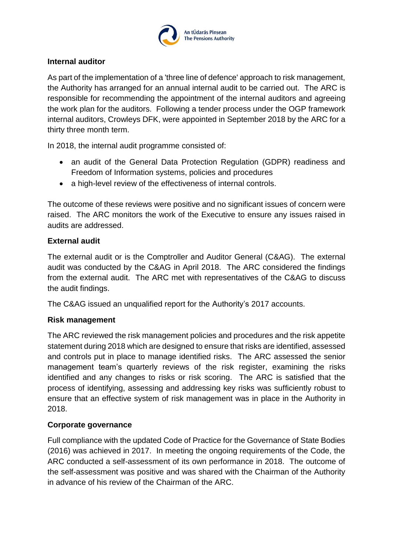

### **Internal auditor**

As part of the implementation of a 'three line of defence' approach to risk management, the Authority has arranged for an annual internal audit to be carried out. The ARC is responsible for recommending the appointment of the internal auditors and agreeing the work plan for the auditors. Following a tender process under the OGP framework internal auditors, Crowleys DFK, were appointed in September 2018 by the ARC for a thirty three month term.

In 2018, the internal audit programme consisted of:

- an audit of the General Data Protection Regulation (GDPR) readiness and Freedom of Information systems, policies and procedures
- a high-level review of the effectiveness of internal controls.

The outcome of these reviews were positive and no significant issues of concern were raised. The ARC monitors the work of the Executive to ensure any issues raised in audits are addressed.

## **External audit**

The external audit or is the Comptroller and Auditor General (C&AG). The external audit was conducted by the C&AG in April 2018. The ARC considered the findings from the external audit. The ARC met with representatives of the C&AG to discuss the audit findings.

The C&AG issued an unqualified report for the Authority's 2017 accounts.

## **Risk management**

The ARC reviewed the risk management policies and procedures and the risk appetite statement during 2018 which are designed to ensure that risks are identified, assessed and controls put in place to manage identified risks. The ARC assessed the senior management team's quarterly reviews of the risk register, examining the risks identified and any changes to risks or risk scoring. The ARC is satisfied that the process of identifying, assessing and addressing key risks was sufficiently robust to ensure that an effective system of risk management was in place in the Authority in 2018.

#### **Corporate governance**

Full compliance with the updated Code of Practice for the Governance of State Bodies (2016) was achieved in 2017. In meeting the ongoing requirements of the Code, the ARC conducted a self-assessment of its own performance in 2018. The outcome of the self-assessment was positive and was shared with the Chairman of the Authority in advance of his review of the Chairman of the ARC.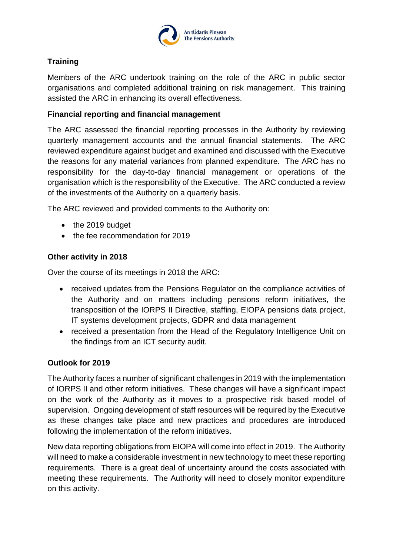

# **Training**

Members of the ARC undertook training on the role of the ARC in public sector organisations and completed additional training on risk management. This training assisted the ARC in enhancing its overall effectiveness.

### **Financial reporting and financial management**

The ARC assessed the financial reporting processes in the Authority by reviewing quarterly management accounts and the annual financial statements. The ARC reviewed expenditure against budget and examined and discussed with the Executive the reasons for any material variances from planned expenditure. The ARC has no responsibility for the day-to-day financial management or operations of the organisation which is the responsibility of the Executive. The ARC conducted a review of the investments of the Authority on a quarterly basis.

The ARC reviewed and provided comments to the Authority on:

- the 2019 budget
- the fee recommendation for 2019

## **Other activity in 2018**

Over the course of its meetings in 2018 the ARC:

- received updates from the Pensions Regulator on the compliance activities of the Authority and on matters including pensions reform initiatives, the transposition of the IORPS II Directive, staffing, EIOPA pensions data project, IT systems development projects, GDPR and data management
- received a presentation from the Head of the Regulatory Intelligence Unit on the findings from an ICT security audit.

#### **Outlook for 2019**

The Authority faces a number of significant challenges in 2019 with the implementation of IORPS II and other reform initiatives. These changes will have a significant impact on the work of the Authority as it moves to a prospective risk based model of supervision. Ongoing development of staff resources will be required by the Executive as these changes take place and new practices and procedures are introduced following the implementation of the reform initiatives.

New data reporting obligations from EIOPA will come into effect in 2019. The Authority will need to make a considerable investment in new technology to meet these reporting requirements. There is a great deal of uncertainty around the costs associated with meeting these requirements. The Authority will need to closely monitor expenditure on this activity.